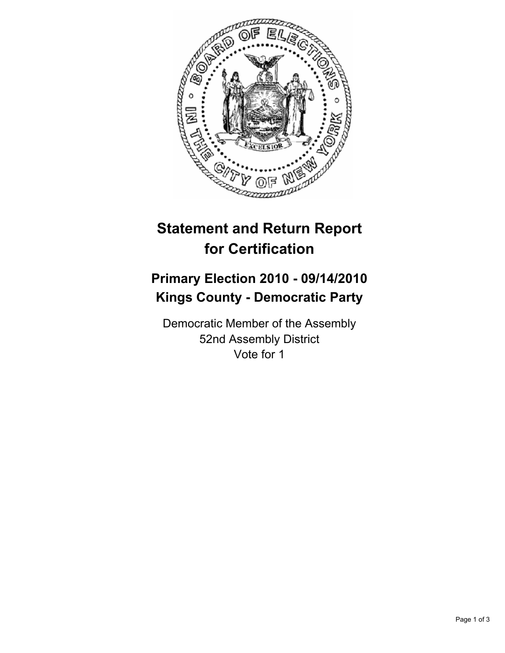

## **Statement and Return Report for Certification**

## **Primary Election 2010 - 09/14/2010 Kings County - Democratic Party**

Democratic Member of the Assembly 52nd Assembly District Vote for 1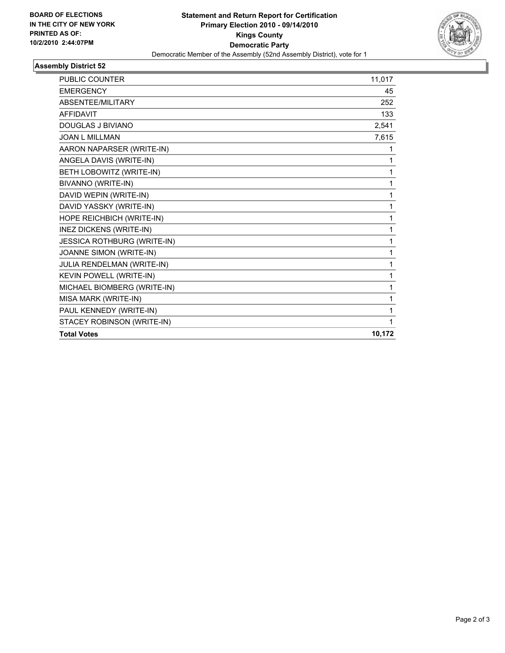

## **Assembly District 52**

| <b>PUBLIC COUNTER</b>       | 11,017 |
|-----------------------------|--------|
| <b>EMERGENCY</b>            | 45     |
| ABSENTEE/MILITARY           | 252    |
| <b>AFFIDAVIT</b>            | 133    |
| <b>DOUGLAS J BIVIANO</b>    | 2,541  |
| <b>JOAN L MILLMAN</b>       | 7,615  |
| AARON NAPARSER (WRITE-IN)   | 1      |
| ANGELA DAVIS (WRITE-IN)     | 1      |
| BETH LOBOWITZ (WRITE-IN)    | 1      |
| BIVANNO (WRITE-IN)          | 1      |
| DAVID WEPIN (WRITE-IN)      | 1      |
| DAVID YASSKY (WRITE-IN)     | 1      |
| HOPE REICHBICH (WRITE-IN)   | 1      |
| INEZ DICKENS (WRITE-IN)     | 1      |
| JESSICA ROTHBURG (WRITE-IN) | 1      |
| JOANNE SIMON (WRITE-IN)     | 1      |
| JULIA RENDELMAN (WRITE-IN)  | 1      |
| KEVIN POWELL (WRITE-IN)     | 1      |
| MICHAEL BIOMBERG (WRITE-IN) | 1      |
| MISA MARK (WRITE-IN)        | 1      |
| PAUL KENNEDY (WRITE-IN)     | 1      |
| STACEY ROBINSON (WRITE-IN)  | 1      |
| <b>Total Votes</b>          | 10,172 |